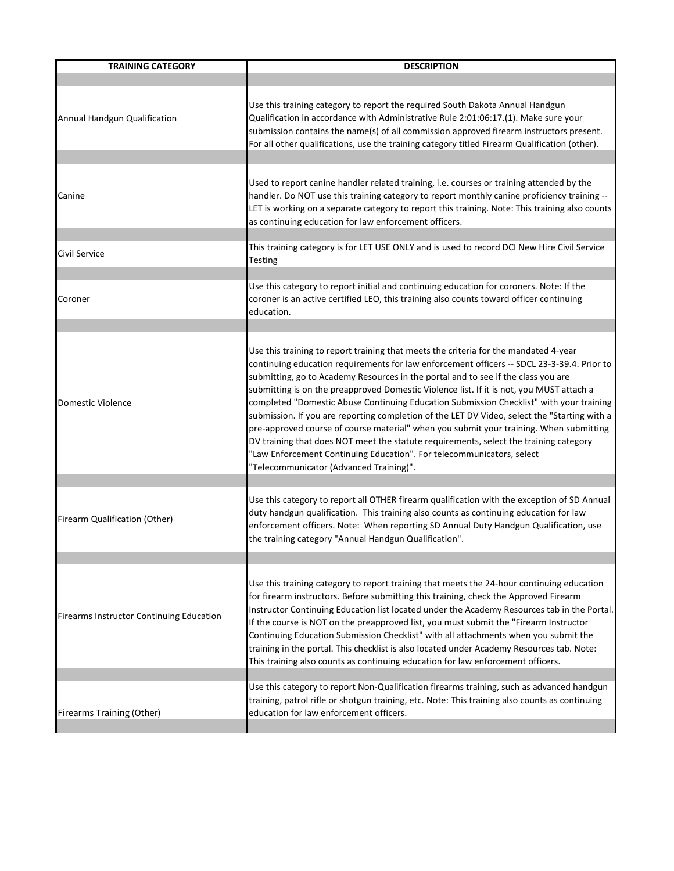| <b>TRAINING CATEGORY</b>                 | <b>DESCRIPTION</b>                                                                                                                                                                                                                                                                                                                                                                                                                                                                                                                                                                                                                                                                                                                                                                                                                                                    |
|------------------------------------------|-----------------------------------------------------------------------------------------------------------------------------------------------------------------------------------------------------------------------------------------------------------------------------------------------------------------------------------------------------------------------------------------------------------------------------------------------------------------------------------------------------------------------------------------------------------------------------------------------------------------------------------------------------------------------------------------------------------------------------------------------------------------------------------------------------------------------------------------------------------------------|
|                                          |                                                                                                                                                                                                                                                                                                                                                                                                                                                                                                                                                                                                                                                                                                                                                                                                                                                                       |
| Annual Handgun Qualification             | Use this training category to report the required South Dakota Annual Handgun<br>Qualification in accordance with Administrative Rule 2:01:06:17.(1). Make sure your<br>submission contains the name(s) of all commission approved firearm instructors present.<br>For all other qualifications, use the training category titled Firearm Qualification (other).                                                                                                                                                                                                                                                                                                                                                                                                                                                                                                      |
|                                          |                                                                                                                                                                                                                                                                                                                                                                                                                                                                                                                                                                                                                                                                                                                                                                                                                                                                       |
| Canine                                   | Used to report canine handler related training, i.e. courses or training attended by the<br>handler. Do NOT use this training category to report monthly canine proficiency training --<br>LET is working on a separate category to report this training. Note: This training also counts<br>as continuing education for law enforcement officers.                                                                                                                                                                                                                                                                                                                                                                                                                                                                                                                    |
| Civil Service                            | This training category is for LET USE ONLY and is used to record DCI New Hire Civil Service<br>Testing                                                                                                                                                                                                                                                                                                                                                                                                                                                                                                                                                                                                                                                                                                                                                                |
| Coroner                                  | Use this category to report initial and continuing education for coroners. Note: If the<br>coroner is an active certified LEO, this training also counts toward officer continuing<br>education.                                                                                                                                                                                                                                                                                                                                                                                                                                                                                                                                                                                                                                                                      |
|                                          |                                                                                                                                                                                                                                                                                                                                                                                                                                                                                                                                                                                                                                                                                                                                                                                                                                                                       |
| <b>Domestic Violence</b>                 | Use this training to report training that meets the criteria for the mandated 4-year<br>continuing education requirements for law enforcement officers -- SDCL 23-3-39.4. Prior to<br>submitting, go to Academy Resources in the portal and to see if the class you are<br>submitting is on the preapproved Domestic Violence list. If it is not, you MUST attach a<br>completed "Domestic Abuse Continuing Education Submission Checklist" with your training<br>submission. If you are reporting completion of the LET DV Video, select the "Starting with a<br>pre-approved course of course material" when you submit your training. When submitting<br>DV training that does NOT meet the statute requirements, select the training category<br>"Law Enforcement Continuing Education". For telecommunicators, select<br>"Telecommunicator (Advanced Training)". |
|                                          |                                                                                                                                                                                                                                                                                                                                                                                                                                                                                                                                                                                                                                                                                                                                                                                                                                                                       |
| Firearm Qualification (Other)            | Use this category to report all OTHER firearm qualification with the exception of SD Annual<br>duty handgun qualification. This training also counts as continuing education for law<br>enforcement officers. Note: When reporting SD Annual Duty Handgun Qualification, use<br>the training category "Annual Handgun Qualification".                                                                                                                                                                                                                                                                                                                                                                                                                                                                                                                                 |
|                                          |                                                                                                                                                                                                                                                                                                                                                                                                                                                                                                                                                                                                                                                                                                                                                                                                                                                                       |
| Firearms Instructor Continuing Education | Use this training category to report training that meets the 24-hour continuing education<br>for firearm instructors. Before submitting this training, check the Approved Firearm<br>Instructor Continuing Education list located under the Academy Resources tab in the Portal.<br>If the course is NOT on the preapproved list, you must submit the "Firearm Instructor<br>Continuing Education Submission Checklist" with all attachments when you submit the<br>training in the portal. This checklist is also located under Academy Resources tab. Note:<br>This training also counts as continuing education for law enforcement officers.                                                                                                                                                                                                                      |
| Firearms Training (Other)                | Use this category to report Non-Qualification firearms training, such as advanced handgun<br>training, patrol rifle or shotgun training, etc. Note: This training also counts as continuing<br>education for law enforcement officers.                                                                                                                                                                                                                                                                                                                                                                                                                                                                                                                                                                                                                                |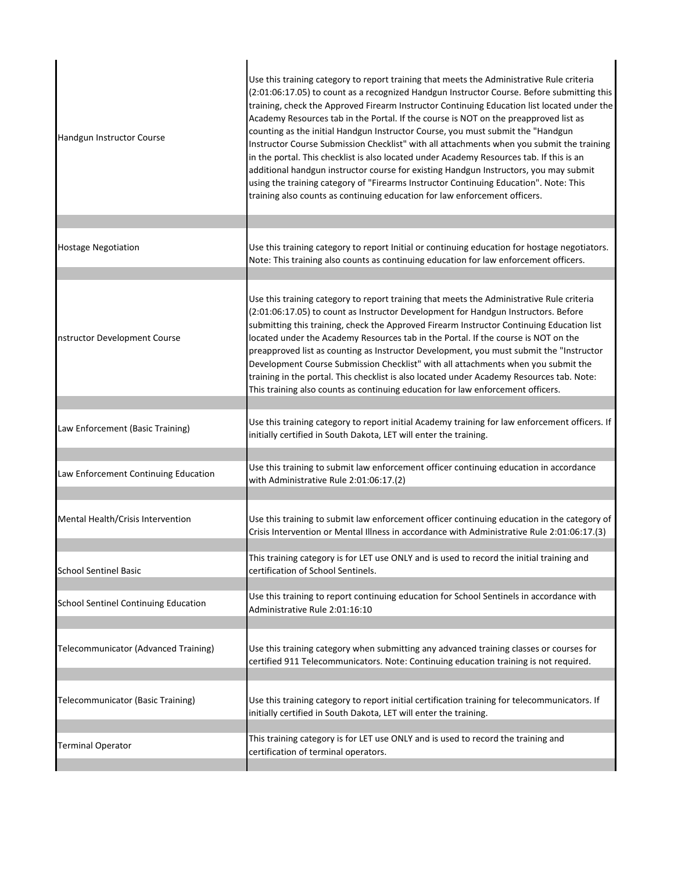| Handgun Instructor Course                   | Use this training category to report training that meets the Administrative Rule criteria<br>(2:01:06:17.05) to count as a recognized Handgun Instructor Course. Before submitting this<br>training, check the Approved Firearm Instructor Continuing Education list located under the<br>Academy Resources tab in the Portal. If the course is NOT on the preapproved list as<br>counting as the initial Handgun Instructor Course, you must submit the "Handgun<br>Instructor Course Submission Checklist" with all attachments when you submit the training<br>in the portal. This checklist is also located under Academy Resources tab. If this is an<br>additional handgun instructor course for existing Handgun Instructors, you may submit<br>using the training category of "Firearms Instructor Continuing Education". Note: This<br>training also counts as continuing education for law enforcement officers. |
|---------------------------------------------|----------------------------------------------------------------------------------------------------------------------------------------------------------------------------------------------------------------------------------------------------------------------------------------------------------------------------------------------------------------------------------------------------------------------------------------------------------------------------------------------------------------------------------------------------------------------------------------------------------------------------------------------------------------------------------------------------------------------------------------------------------------------------------------------------------------------------------------------------------------------------------------------------------------------------|
|                                             |                                                                                                                                                                                                                                                                                                                                                                                                                                                                                                                                                                                                                                                                                                                                                                                                                                                                                                                            |
| <b>Hostage Negotiation</b>                  | Use this training category to report Initial or continuing education for hostage negotiators.<br>Note: This training also counts as continuing education for law enforcement officers.                                                                                                                                                                                                                                                                                                                                                                                                                                                                                                                                                                                                                                                                                                                                     |
|                                             |                                                                                                                                                                                                                                                                                                                                                                                                                                                                                                                                                                                                                                                                                                                                                                                                                                                                                                                            |
| nstructor Development Course                | Use this training category to report training that meets the Administrative Rule criteria<br>(2:01:06:17.05) to count as Instructor Development for Handgun Instructors. Before<br>submitting this training, check the Approved Firearm Instructor Continuing Education list<br>located under the Academy Resources tab in the Portal. If the course is NOT on the<br>preapproved list as counting as Instructor Development, you must submit the "Instructor<br>Development Course Submission Checklist" with all attachments when you submit the<br>training in the portal. This checklist is also located under Academy Resources tab. Note:<br>This training also counts as continuing education for law enforcement officers.                                                                                                                                                                                         |
| Law Enforcement (Basic Training)            | Use this training category to report initial Academy training for law enforcement officers. If<br>initially certified in South Dakota, LET will enter the training.                                                                                                                                                                                                                                                                                                                                                                                                                                                                                                                                                                                                                                                                                                                                                        |
| Law Enforcement Continuing Education        | Use this training to submit law enforcement officer continuing education in accordance<br>with Administrative Rule 2:01:06:17.(2)                                                                                                                                                                                                                                                                                                                                                                                                                                                                                                                                                                                                                                                                                                                                                                                          |
| Mental Health/Crisis Intervention           | Use this training to submit law enforcement officer continuing education in the category of<br>Crisis Intervention or Mental Illness in accordance with Administrative Rule 2:01:06:17.(3)                                                                                                                                                                                                                                                                                                                                                                                                                                                                                                                                                                                                                                                                                                                                 |
| <b>School Sentinel Basic</b>                | This training category is for LET use ONLY and is used to record the initial training and<br>certification of School Sentinels.                                                                                                                                                                                                                                                                                                                                                                                                                                                                                                                                                                                                                                                                                                                                                                                            |
| <b>School Sentinel Continuing Education</b> | Use this training to report continuing education for School Sentinels in accordance with<br>Administrative Rule 2:01:16:10                                                                                                                                                                                                                                                                                                                                                                                                                                                                                                                                                                                                                                                                                                                                                                                                 |
| Telecommunicator (Advanced Training)        | Use this training category when submitting any advanced training classes or courses for<br>certified 911 Telecommunicators. Note: Continuing education training is not required.                                                                                                                                                                                                                                                                                                                                                                                                                                                                                                                                                                                                                                                                                                                                           |
| Telecommunicator (Basic Training)           | Use this training category to report initial certification training for telecommunicators. If<br>initially certified in South Dakota, LET will enter the training.                                                                                                                                                                                                                                                                                                                                                                                                                                                                                                                                                                                                                                                                                                                                                         |
|                                             | This training category is for LET use ONLY and is used to record the training and                                                                                                                                                                                                                                                                                                                                                                                                                                                                                                                                                                                                                                                                                                                                                                                                                                          |
| <b>Terminal Operator</b>                    | certification of terminal operators.                                                                                                                                                                                                                                                                                                                                                                                                                                                                                                                                                                                                                                                                                                                                                                                                                                                                                       |